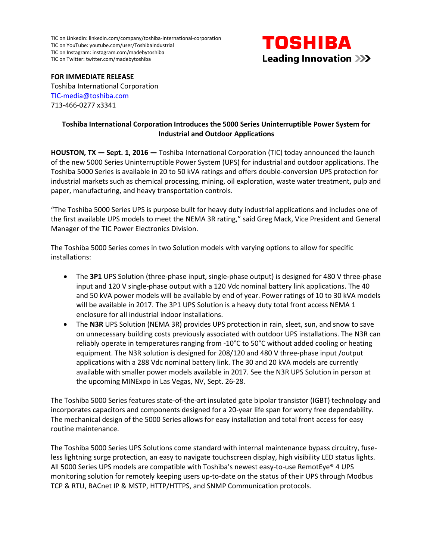TIC on LinkedIn[: linkedin.com/company/toshiba-international-corporation](http://www.linkedin.com/company/toshiba-international-corporation/) TIC on YouTube[: youtube.com/user/ToshibaIndustrial](https://www.youtube.com/user/ToshibaIndustrial) TIC on Instagram[: instagram.com/madebytoshiba](https://www.instagram.com/madebytoshiba/) TIC on Twitter: [twitter.com/madebytoshiba](https://twitter.com/MadeByTOSHIBA)



**FOR IMMEDIATE RELEASE**

Toshiba International Corporation [TIC-media@toshiba.com](mailto:TIC-media@toshiba.com) 713-466-0277 x3341

## **Toshiba International Corporation Introduces the 5000 Series Uninterruptible Power System for Industrial and Outdoor Applications**

**HOUSTON, TX — Sept. 1, 2016 —** Toshiba International Corporation (TIC) today announced the launch of the new 5000 Series Uninterruptible Power System (UPS) for industrial and outdoor applications. The Toshiba 5000 Series is available in 20 to 50 kVA ratings and offers double-conversion UPS protection for industrial markets such as chemical processing, mining, oil exploration, waste water treatment, pulp and paper, manufacturing, and heavy transportation controls.

"The Toshiba 5000 Series UPS is purpose built for heavy duty industrial applications and includes one of the first available UPS models to meet the NEMA 3R rating," said Greg Mack, Vice President and General Manager of the TIC Power Electronics Division.

The Toshiba 5000 Series comes in two Solution models with varying options to allow for specific installations:

- The **3P1** UPS Solution (three-phase input, single-phase output) is designed for 480 V three-phase input and 120 V single-phase output with a 120 Vdc nominal battery link applications. The 40 and 50 kVA power models will be available by end of year. Power ratings of 10 to 30 kVA models will be available in 2017. The 3P1 UPS Solution is a heavy duty total front access NEMA 1 enclosure for all industrial indoor installations.
- The **N3R** UPS Solution (NEMA 3R) provides UPS protection in rain, sleet, sun, and snow to save on unnecessary building costs previously associated with outdoor UPS installations. The N3R can reliably operate in temperatures ranging from -10°C to 50°C without added cooling or heating equipment. The N3R solution is designed for 208/120 and 480 V three-phase input /output applications with a 288 Vdc nominal battery link. The 30 and 20 kVA models are currently available with smaller power models available in 2017. See the N3R UPS Solution in person at the upcoming MINExpo in Las Vegas, NV, Sept. 26-28.

The Toshiba 5000 Series features state-of-the-art insulated gate bipolar transistor (IGBT) technology and incorporates capacitors and components designed for a 20-year life span for worry free dependability. The mechanical design of the 5000 Series allows for easy installation and total front access for easy routine maintenance.

The Toshiba 5000 Series UPS Solutions come standard with internal maintenance bypass circuitry, fuseless lightning surge protection, an easy to navigate touchscreen display, high visibility LED status lights. All 5000 Series UPS models are compatible with Toshiba's newest easy-to-use RemotEye® 4 UPS monitoring solution for remotely keeping users up-to-date on the status of their UPS through Modbus TCP & RTU, BACnet IP & MSTP, HTTP/HTTPS, and SNMP Communication protocols.